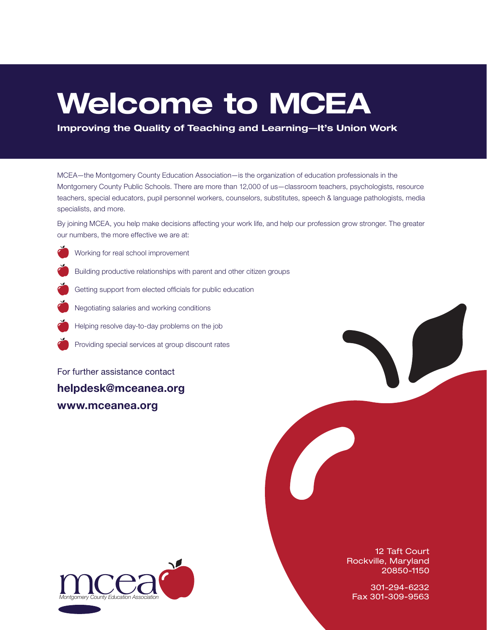# Welcome to MCEA

Improving the Quality of Teaching and Learning—It's Union Work

MCEA—the Montgomery County Education Association—is the organization of education professionals in the Montgomery County Public Schools. There are more than 12,000 of us—classroom teachers, psychologists, resource teachers, special educators, pupil personnel workers, counselors, substitutes, speech & language pathologists, media specialists, and more.

By joining MCEA, you help make decisions affecting your work life, and help our profession grow stronger. The greater our numbers, the more effective we are at:

- Working for real school improvement
	- Building productive relationships with parent and other citizen groups
	- Getting support from elected officials for public education
	- Negotiating salaries and working conditions
	- Helping resolve day-to-day problems on the job
	- Providing special services at group discount rates

For further assistance contact

helpdesk@mceanea.org www.mceanea.org



12 Taft Court Rockville, Maryland 20850-1150

301-294-6232 *Montgomery County Education Association* Fax 301-309-9563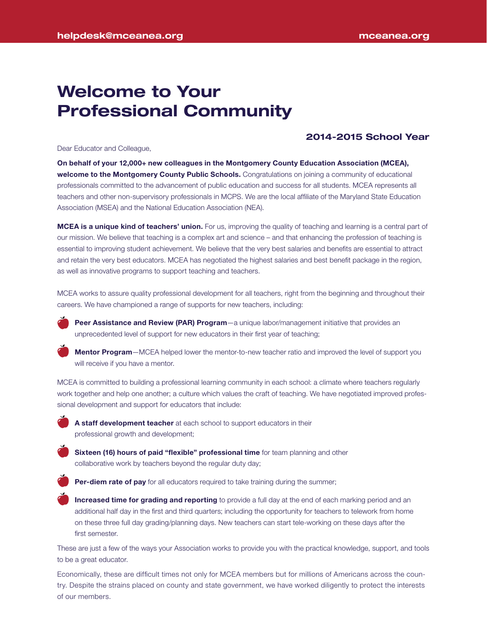# Welcome to Your Professional Community

### 2014-2015 School Year

Dear Educator and Colleague,

On behalf of your 12,000+ new colleagues in the Montgomery County Education Association (MCEA), welcome to the Montgomery County Public Schools. Congratulations on joining a community of educational professionals committed to the advancement of public education and success for all students. MCEA represents all teachers and other non-supervisory professionals in MCPS. We are the local affiliate of the Maryland State Education Association (MSEA) and the National Education Association (NEA).

MCEA is a unique kind of teachers' union. For us, improving the quality of teaching and learning is a central part of our mission. We believe that teaching is a complex art and science – and that enhancing the profession of teaching is essential to improving student achievement. We believe that the very best salaries and benefits are essential to attract and retain the very best educators. MCEA has negotiated the highest salaries and best benefit package in the region, as well as innovative programs to support teaching and teachers.

MCEA works to assure quality professional development for all teachers, right from the beginning and throughout their careers. We have championed a range of supports for new teachers, including:



Peer Assistance and Review (PAR) Program-a unique labor/management initiative that provides an unprecedented level of support for new educators in their first year of teaching;



**Mentor Program**—MCEA helped lower the mentor-to-new teacher ratio and improved the level of support you will receive if you have a mentor.

MCEA is committed to building a professional learning community in each school: a climate where teachers regularly work together and help one another; a culture which values the craft of teaching. We have negotiated improved professional development and support for educators that include:



A staff development teacher at each school to support educators in their professional growth and development;



**Sixteen (16) hours of paid "flexible" professional time** for team planning and other collaborative work by teachers beyond the regular duty day;



Per-diem rate of pay for all educators required to take training during the summer;

Increased time for grading and reporting to provide a full day at the end of each marking period and an additional half day in the first and third quarters; including the opportunity for teachers to telework from home on these three full day grading/planning days. New teachers can start tele-working on these days after the first semester.

These are just a few of the ways your Association works to provide you with the practical knowledge, support, and tools to be a great educator.

Economically, these are difficult times not only for MCEA members but for millions of Americans across the country. Despite the strains placed on county and state government, we have worked diligently to protect the interests of our members.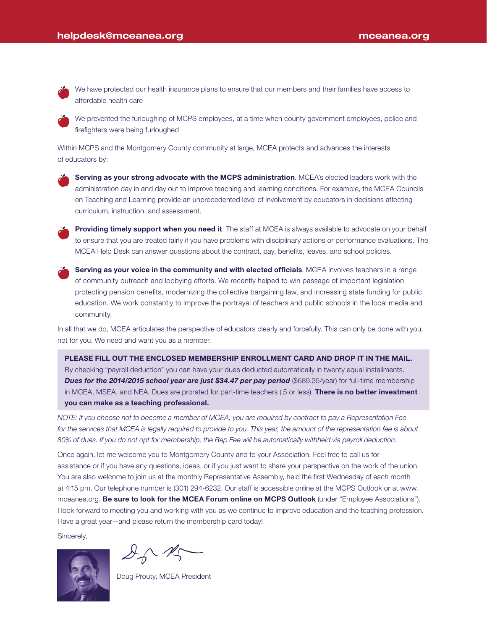We have protected our health insurance plans to ensure that our members and their families have access to affordable health care

We prevented the furloughing of MCPS employees, at a time when county government employees, police and firefighters were being furloughed

Within MCPS and the Montgomery County community at large, MCEA protects and advances the interests of educators by:

Serving as your strong advocate with the MCPS administration. MCEA's elected leaders work with the administration day in and day out to improve teaching and learning conditions. For example, the MCEA Councils on Teaching and Learning provide an unprecedented level of involvement by educators in decisions affecting curriculum, instruction, and assessment.



Providing timely support when you need it. The staff at MCEA is always available to advocate on your behalf to ensure that you are treated fairly if you have problems with disciplinary actions or performance evaluations. The MCEA Help Desk can answer questions about the contract, pay, benefits, leaves, and school policies.

Serving as your voice in the community and with elected officials. MCEA involves teachers in a range of community outreach and lobbying efforts. We recently helped to win passage of important legislation protecting pension benefits, modernizing the collective bargaining law, and increasing state funding for public education. We work constantly to improve the portrayal of teachers and public schools in the local media and community.

In all that we do, MCEA articulates the perspective of educators clearly and forcefully. This can only be done with you, not for you. We need and want you as a member.

PLEASE FILL OUT THE ENCLOSED MEMBERSHIP ENROLLMENT CARD AND DROP IT IN THE MAIL. By checking "payroll deduction" you can have your dues deducted automatically in twenty equal installments. **Dues for the 2014/2015 school year are just \$34.47 per pay period** (\$689.35/year) for full-time membership in MCEA, MSEA, and NEA. Dues are prorated for part-time teachers (.5 or less). There is no better investment you can make as a teaching professional.

*NOTE: if you choose not to become a member of MCEA, you are required by contract to pay a Representation Fee for the services that MCEA is legally required to provide to you. This year, the amount of the representation fee is about 80% of dues. If you do not opt for membership, the Rep Fee will be automatically withheld via payroll deduction.*

Once again, let me welcome you to Montgomery County and to your Association. Feel free to call us for assistance or if you have any questions, ideas, or if you just want to share your perspective on the work of the union. You are also welcome to join us at the monthly Representative Assembly, held the first Wednesday of each month at 4:15 pm. Our telephone number is (301) 294-6232. Our staff is accessible online at the MCPS Outlook or at www. mceanea.org. Be sure to look for the MCEA Forum online on MCPS Outlook (under "Employee Associations"). I look forward to meeting you and working with you as we continue to improve education and the teaching profession. Have a great year—and please return the membership card today!

Sincerely,



 $261$ 

Doug Prouty, MCEA President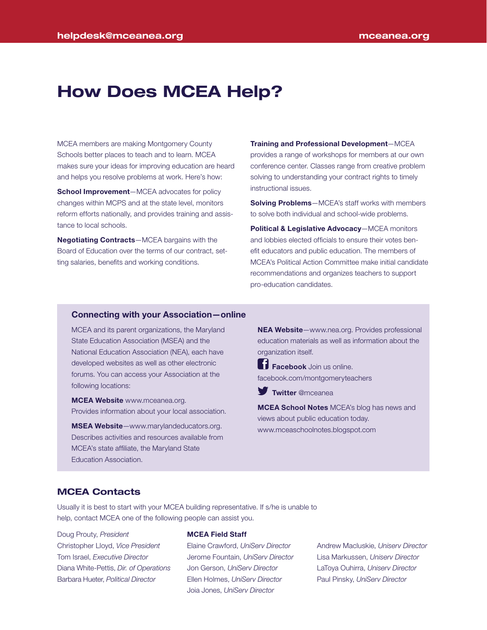# How Does MCEA Help?

MCEA members are making Montgomery County Schools better places to teach and to learn. MCEA makes sure your ideas for improving education are heard and helps you resolve problems at work. Here's how:

School Improvement-MCEA advocates for policy changes within MCPS and at the state level, monitors reform efforts nationally, and provides training and assistance to local schools.

Negotiating Contracts—MCEA bargains with the Board of Education over the terms of our contract, setting salaries, benefits and working conditions.

Training and Professional Development—MCEA

provides a range of workshops for members at our own conference center. Classes range from creative problem solving to understanding your contract rights to timely instructional issues.

**Solving Problems**—MCEA's staff works with members to solve both individual and school-wide problems.

Political & Legislative Advocacy-MCEA monitors and lobbies elected officials to ensure their votes benefit educators and public education. The members of MCEA's Political Action Committee make initial candidate recommendations and organizes teachers to support pro-education candidates.

#### Connecting with your Association—online

MCEA and its parent organizations, the Maryland State Education Association (MSEA) and the National Education Association (NEA), each have developed websites as well as other electronic forums. You can access your Association at the following locations:

**MCEA Website www.mceanea.org.** Provides information about your local association.

MSEA Website—www.marylandeducators.org. Describes activities and resources available from MCEA's state affiliate, the Maryland State Education Association.

NEA Website—www.nea.org. Provides professional education materials as well as information about the organization itself.

**Facebook** Join us online. facebook.com/montgomeryteachers

**Twitter @mceanea** 

**MCEA School Notes** MCEA's blog has news and views about public education today. www.mceaschoolnotes.blogspot.com

#### MCEA Contacts

Usually it is best to start with your MCEA building representative. If s/he is unable to help, contact MCEA one of the following people can assist you.

Doug Prouty, *President* Christopher Lloyd, *Vice President* Tom Israel, *Executive Director* Diana White-Pettis, *Dir. of Operations* Barbara Hueter, *Political Director*

#### MCEA Field Staff

Elaine Crawford, *UniServ Director* Jerome Fountain, *UniServ Director* Jon Gerson, *UniServ Director* Ellen Holmes, *UniServ Director* Joia Jones, *UniServ Director*

Andrew Macluskie, *Uniserv Director* Lisa Markussen, *Uniserv Director* LaToya Ouhirra, *Uniserv Director* Paul Pinsky, *UniServ Director*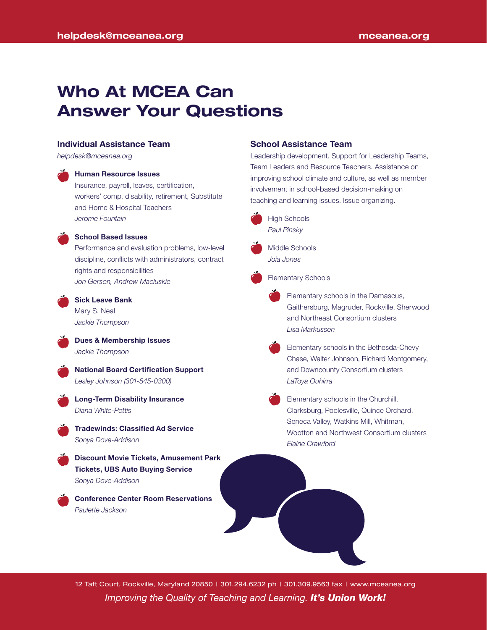# Who At MCEA Can Answer Your Questions

#### Individual Assistance Team

*helpdesk@mceanea.org*

#### Human Resource Issues

Insurance, payroll, leaves, certification, workers' comp, disability, retirement, Substitute and Home & Hospital Teachers *Jerome Fountain*



#### School Based Issues

Performance and evaluation problems, low-level discipline, conflicts with administrators, contract rights and responsibilities *Jon Gerson, Andrew Macluskie*



# Sick Leave Bank Mary S. Neal

*Jackie Thompson*

Dues & Membership Issues *Jackie Thompson*



National Board Certification Support *Lesley Johnson (301-545-0300)*



#### Long-Term Disability Insurance *Diana White-Pettis*

Tradewinds: Classified Ad Service *Sonya Dove-Addison*

Discount Movie Tickets, Amusement Park Tickets, UBS Auto Buying Service *Sonya Dove-Addison*

Conference Center Room Reservations *Paulette Jackson*

#### School Assistance Team

Leadership development. Support for Leadership Teams, Team Leaders and Resource Teachers. Assistance on improving school climate and culture, as well as member involvement in school-based decision-making on teaching and learning issues. Issue organizing.



Middle Schools *Joia Jones*

Elementary Schools

- Elementary schools in the Damascus, Gaithersburg, Magruder, Rockville, Sherwood and Northeast Consortium clusters *Lisa Markussen*
- Elementary schools in the Bethesda-Chevy Chase, Walter Johnson, Richard Montgomery, and Downcounty Consortium clusters *LaToya Ouhirra*
- Elementary schools in the Churchill, Clarksburg, Poolesville, Quince Orchard, Seneca Valley, Watkins Mill, Whitman, Wootton and Northwest Consortium clusters *Elaine Crawford*

*Improving the Quality of Teaching and Learning. It's Union Work!* 12 Taft Court, Rockville, Maryland 20850 | 301.294.6232 ph | 301.309.9563 fax | www.mceanea.org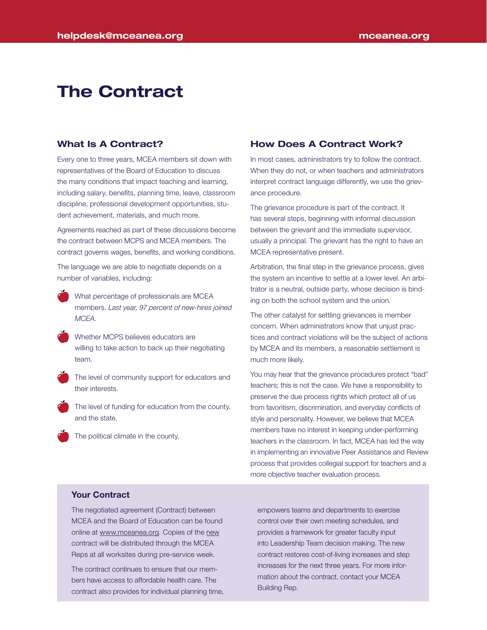# The Contract

### What Is A Contract?

Every one to three years, MCEA members sit down with representatives of the Board of Education to discuss the many conditions that impact teaching and learning, including salary, benefits, planning time, leave, classroom discipline, professional development opportunities, student achievement, materials, and much more.

Agreements reached as part of these discussions become the contract between MCPS and MCEA members. The contract governs wages, benefits, and working conditions.

The language we are able to negotiate depends on a number of variables, including:

- What percentage of professionals are MCEA members. *Last year, 97 percent of new-hires joined MCEA.*
- Whether MCPS believes educators are willing to take action to back up their negotiating team.

The level of community support for educators and their interests.

The level of funding for education from the county, and the state.

The political climate in the county.

### How Does A Contract Work?

In most cases, administrators try to follow the contract. When they do not, or when teachers and administrators interpret contract language differently, we use the grievance procedure.

The grievance procedure is part of the contract. It has several steps, beginning with informal discussion between the grievant and the immediate supervisor, usually a principal. The grievant has the right to have an MCEA representative present.

Arbitration, the final step in the grievance process, gives the system an incentive to settle at a lower level. An arbitrator is a neutral, outside party, whose decision is binding on both the school system and the union.

The other catalyst for settling grievances is member concern. When administrators know that unjust practices and contract violations will be the subject of actions by MCEA and its members, a reasonable settlement is much more likely.

You may hear that the grievance procedures protect "bad" teachers; this is not the case. We have a responsibility to preserve the due process rights which protect all of us from favoritism, discrimination, and everyday conflicts of style and personality. However, we believe that MCEA members have no interest in keeping under-performing teachers in the classroom. In fact, MCEA has led the way in implementing an innovative Peer Assistance and Review process that provides collegial support for teachers and a more objective teacher evaluation process.

## Your Contract

The negotiated agreement (Contract) between MCEA and the Board of Education can be found online at www.mceanea.org. Copies of the new contract will be distributed through the MCEA Reps at all worksites during pre-service week.

The contract continues to ensure that our members have access to affordable health care. The contract also provides for individual planning time,

empowers teams and departments to exercise control over their own meeting schedules, and provides a framework for greater faculty input into Leadership Team decision making. The new contract restores cost-of-living increases and step increases for the next three years. For more information about the contract, contact your MCEA Building Rep.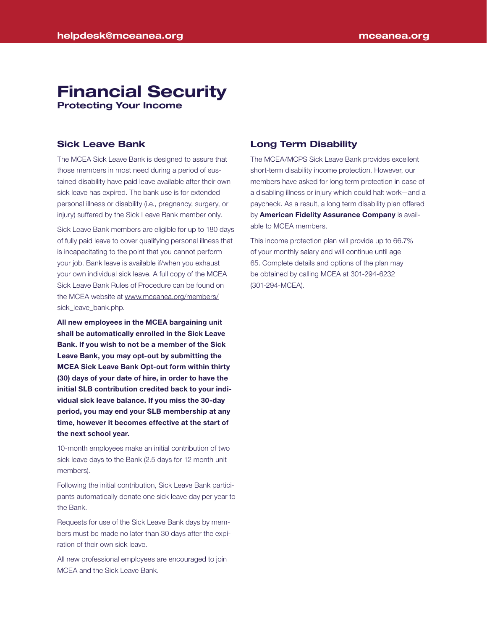# Financial Security Protecting Your Income

Sick Leave Bank

The MCEA Sick Leave Bank is designed to assure that those members in most need during a period of sustained disability have paid leave available after their own sick leave has expired. The bank use is for extended personal illness or disability (i.e., pregnancy, surgery, or injury) suffered by the Sick Leave Bank member only.

Sick Leave Bank members are eligible for up to 180 days of fully paid leave to cover qualifying personal illness that is incapacitating to the point that you cannot perform your job. Bank leave is available if/when you exhaust your own individual sick leave. A full copy of the MCEA Sick Leave Bank Rules of Procedure can be found on the MCEA website at www.mceanea.org/members/ sick\_leave\_bank.php.

All new employees in the MCEA bargaining unit shall be automatically enrolled in the Sick Leave Bank. If you wish to not be a member of the Sick Leave Bank, you may opt-out by submitting the MCEA Sick Leave Bank Opt-out form within thirty (30) days of your date of hire, in order to have the initial SLB contribution credited back to your individual sick leave balance. If you miss the 30-day period, you may end your SLB membership at any time, however it becomes effective at the start of the next school year.

10-month employees make an initial contribution of two sick leave days to the Bank (2.5 days for 12 month unit members).

Following the initial contribution, Sick Leave Bank participants automatically donate one sick leave day per year to the Bank.

Requests for use of the Sick Leave Bank days by members must be made no later than 30 days after the expiration of their own sick leave.

All new professional employees are encouraged to join MCEA and the Sick Leave Bank.

#### Long Term Disability

The MCEA/MCPS Sick Leave Bank provides excellent short-term disability income protection. However, our members have asked for long term protection in case of a disabling illness or injury which could halt work—and a paycheck. As a result, a long term disability plan offered by American Fidelity Assurance Company is available to MCEA members.

This income protection plan will provide up to 66.7% of your monthly salary and will continue until age 65. Complete details and options of the plan may be obtained by calling MCEA at 301-294-6232 (301-294-MCEA).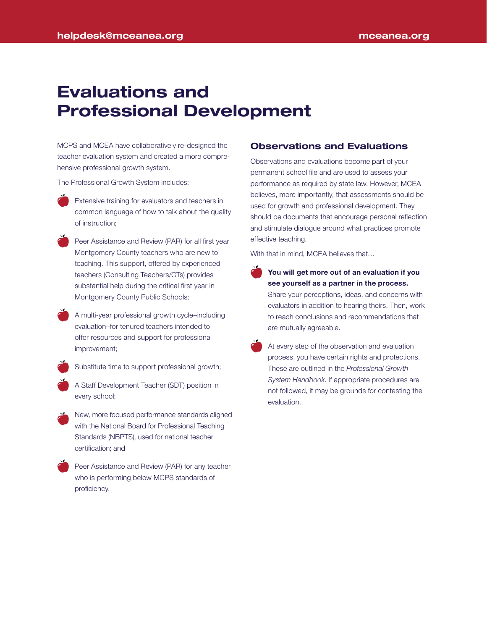# Evaluations and Professional Development

MCPS and MCEA have collaboratively re-designed the teacher evaluation system and created a more comprehensive professional growth system.

The Professional Growth System includes:

- Extensive training for evaluators and teachers in common language of how to talk about the quality of instruction;
- Peer Assistance and Review (PAR) for all first year Montgomery County teachers who are new to teaching. This support, offered by experienced teachers (Consulting Teachers/CTs) provides substantial help during the critical first year in Montgomery County Public Schools;
- A multi-year professional growth cycle–including evaluation–for tenured teachers intended to offer resources and support for professional improvement;
	- Substitute time to support professional growth;
- A Staff Development Teacher (SDT) position in every school;
- New, more focused performance standards aligned with the National Board for Professional Teaching Standards (NBPTS), used for national teacher certification; and
- Peer Assistance and Review (PAR) for any teacher who is performing below MCPS standards of proficiency.

#### Observations and Evaluations

Observations and evaluations become part of your permanent school file and are used to assess your performance as required by state law. However, MCEA believes, more importantly, that assessments should be used for growth and professional development. They should be documents that encourage personal reflection and stimulate dialogue around what practices promote effective teaching.

With that in mind, MCEA believes that...

- You will get more out of an evaluation if you see yourself as a partner in the process. Share your perceptions, ideas, and concerns with evaluators in addition to hearing theirs. Then, work to reach conclusions and recommendations that are mutually agreeable.
- At every step of the observation and evaluation process, you have certain rights and protections. These are outlined in the *Professional Growth System Handbook*. If appropriate procedures are not followed, it may be grounds for contesting the evaluation.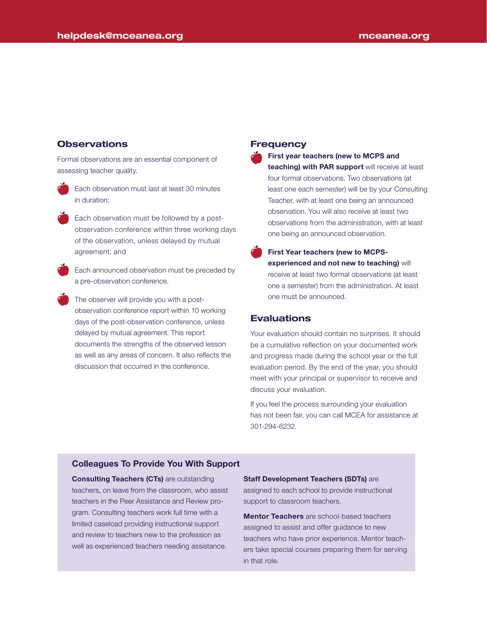## **Observations**

Formal observations are an essential component of assessing teacher quality.



Each observation must last at least 30 minutes in duration;

Each observation must be followed by a postobservation conference within three working days of the observation, unless delayed by mutual agreement; and

Each announced observation must be preceded by a pre-observation conference.

The observer will provide you with a postobservation conference report within 10 working days of the post-observation conference, unless delayed by mutual agreement. This report documents the strengths of the observed lesson as well as any areas of concern. It also reflects the discussion that occurred in the conference.

#### Frequency

First year teachers (new to MCPS and teaching) with PAR support will receive at least four formal observations. Two observations (at least one each semester) will be by your Consulting Teacher, with at least one being an announced observation. You will also receive at least two observations from the administration, with at least one being an announced observation.

First Year teachers (new to MCPSexperienced and not new to teaching) will receive at least two formal observations (at least one a semester) from the administration. At least one must be announced.

### **Evaluations**

Your evaluation should contain no surprises. It should be a cumulative reflection on your documented work and progress made during the school year or the full evaluation period. By the end of the year, you should meet with your principal or supervisor to receive and discuss your evaluation.

If you feel the process surrounding your evaluation has not been fair, you can call MCEA for assistance at 301-294-6232.

#### Colleagues To Provide You With Support

**Consulting Teachers (CTs)** are outstanding teachers, on leave from the classroom, who assist teachers in the Peer Assistance and Review program. Consulting teachers work full time with a limited caseload providing instructional support and review to teachers new to the profession as well as experienced teachers needing assistance.

#### Staff Development Teachers (SDTs) are

assigned to each school to provide instructional support to classroom teachers.

**Mentor Teachers** are school-based teachers assigned to assist and offer guidance to new teachers who have prior experience. Mentor teachers take special courses preparing them for serving in that role.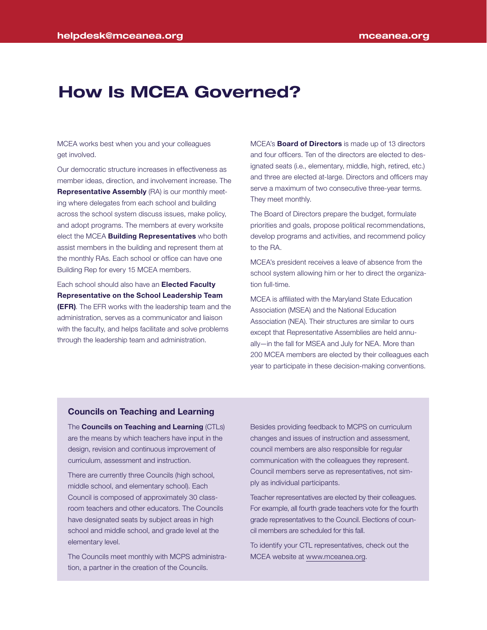# How Is MCEA Governed?

MCEA works best when you and your colleagues get involved.

Our democratic structure increases in effectiveness as member ideas, direction, and involvement increase. The Representative Assembly (RA) is our monthly meeting where delegates from each school and building across the school system discuss issues, make policy, and adopt programs. The members at every worksite elect the MCEA **Building Representatives** who both assist members in the building and represent them at the monthly RAs. Each school or office can have one Building Rep for every 15 MCEA members.

Each school should also have an **Elected Faculty** Representative on the School Leadership Team (EFR). The EFR works with the leadership team and the administration, serves as a communicator and liaison with the faculty, and helps facilitate and solve problems through the leadership team and administration.

MCEA's **Board of Directors** is made up of 13 directors and four officers. Ten of the directors are elected to designated seats (i.e., elementary, middle, high, retired, etc.) and three are elected at-large. Directors and officers may serve a maximum of two consecutive three-year terms. They meet monthly.

The Board of Directors prepare the budget, formulate priorities and goals, propose political recommendations, develop programs and activities, and recommend policy to the RA.

MCEA's president receives a leave of absence from the school system allowing him or her to direct the organization full-time.

MCEA is affiliated with the Maryland State Education Association (MSEA) and the National Education Association (NEA). Their structures are similar to ours except that Representative Assemblies are held annually—in the fall for MSEA and July for NEA. More than 200 MCEA members are elected by their colleagues each year to participate in these decision-making conventions.

#### Councils on Teaching and Learning

The Councils on Teaching and Learning (CTLs) are the means by which teachers have input in the design, revision and continuous improvement of curriculum, assessment and instruction.

There are currently three Councils (high school, middle school, and elementary school). Each Council is composed of approximately 30 classroom teachers and other educators. The Councils have designated seats by subject areas in high school and middle school, and grade level at the elementary level.

The Councils meet monthly with MCPS administration, a partner in the creation of the Councils.

Besides providing feedback to MCPS on curriculum changes and issues of instruction and assessment, council members are also responsible for regular communication with the colleagues they represent. Council members serve as representatives, not simply as individual participants.

Teacher representatives are elected by their colleagues. For example, all fourth grade teachers vote for the fourth grade representatives to the Council. Elections of council members are scheduled for this fall.

To identify your CTL representatives, check out the MCEA website at www.mceanea.org.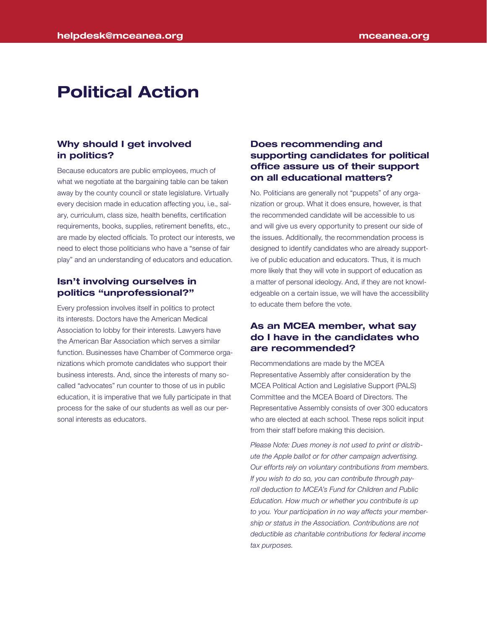# Political Action

### Why should I get involved in politics?

Because educators are public employees, much of what we negotiate at the bargaining table can be taken away by the county council or state legislature. Virtually every decision made in education affecting you, i.e., salary, curriculum, class size, health benefits, certification requirements, books, supplies, retirement benefits, etc., are made by elected officials. To protect our interests, we need to elect those politicians who have a "sense of fair play" and an understanding of educators and education.

### Isn't involving ourselves in politics "unprofessional?"

Every profession involves itself in politics to protect its interests. Doctors have the American Medical Association to lobby for their interests. Lawyers have the American Bar Association which serves a similar function. Businesses have Chamber of Commerce organizations which promote candidates who support their business interests. And, since the interests of many socalled "advocates" run counter to those of us in public education, it is imperative that we fully participate in that process for the sake of our students as well as our personal interests as educators.

# Does recommending and supporting candidates for political office assure us of their support on all educational matters?

No. Politicians are generally not "puppets" of any organization or group. What it does ensure, however, is that the recommended candidate will be accessible to us and will give us every opportunity to present our side of the issues. Additionally, the recommendation process is designed to identify candidates who are already supportive of public education and educators. Thus, it is much more likely that they will vote in support of education as a matter of personal ideology. And, if they are not knowledgeable on a certain issue, we will have the accessibility to educate them before the vote.

## As an MCEA member, what say do I have in the candidates who are recommended?

Recommendations are made by the MCEA Representative Assembly after consideration by the MCEA Political Action and Legislative Support (PALS) Committee and the MCEA Board of Directors. The Representative Assembly consists of over 300 educators who are elected at each school. These reps solicit input from their staff before making this decision.

*Please Note: Dues money is not used to print or distribute the Apple ballot or for other campaign advertising. Our efforts rely on voluntary contributions from members. If you wish to do so, you can contribute through payroll deduction to MCEA's Fund for Children and Public Education. How much or whether you contribute is up to you. Your participation in no way affects your membership or status in the Association. Contributions are not deductible as charitable contributions for federal income tax purposes.*